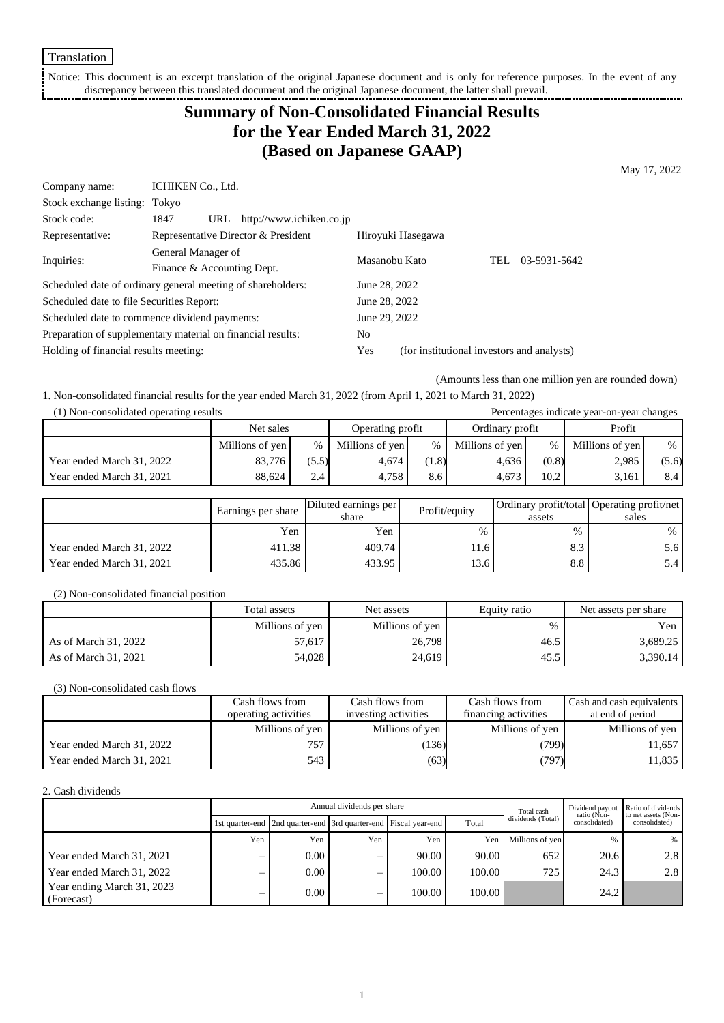Notice: This document is an excerpt translation of the original Japanese document and is only for reference purposes. In the event of any discrepancy between this translated document and the original Japanese document, the latter shall prevail. - i

## **Summary of Non-Consolidated Financial Results for the Year Ended March 31, 2022 (Based on Japanese GAAP)**

May 17, 2022

| Company name:                                               | ICHIKEN Co., Ltd.          |                                     |                                            |                   |      |              |
|-------------------------------------------------------------|----------------------------|-------------------------------------|--------------------------------------------|-------------------|------|--------------|
| Stock exchange listing: Tokyo                               |                            |                                     |                                            |                   |      |              |
| Stock code:                                                 | 1847<br>URL                | http://www.ichiken.co.jp            |                                            |                   |      |              |
| Representative:                                             |                            | Representative Director & President |                                            | Hiroyuki Hasegawa |      |              |
| Inquiries:                                                  | General Manager of         |                                     | Masanobu Kato                              |                   | TEL. | 03-5931-5642 |
|                                                             | Finance & Accounting Dept. |                                     |                                            |                   |      |              |
| Scheduled date of ordinary general meeting of shareholders: |                            |                                     | June 28, 2022                              |                   |      |              |
| Scheduled date to file Securities Report:                   |                            |                                     | June 28, 2022                              |                   |      |              |
| Scheduled date to commence dividend payments:               |                            | June 29, 2022                       |                                            |                   |      |              |
| Preparation of supplementary material on financial results: |                            | N <sub>0</sub>                      |                                            |                   |      |              |
| Holding of financial results meeting:                       |                            | Yes                                 | (for institutional investors and analysts) |                   |      |              |
|                                                             |                            |                                     |                                            |                   |      |              |

(Amounts less than one million yen are rounded down)

1. Non-consolidated financial results for the year ended March 31, 2022 (from April 1, 2021 to March 31, 2022)

| (1) Non-consolidated operating results<br>Percentages indicate year-on-year changes |                 |       |                  |      |                 |       |                 |       |
|-------------------------------------------------------------------------------------|-----------------|-------|------------------|------|-----------------|-------|-----------------|-------|
|                                                                                     | Net sales       |       | Operating profit |      | Ordinary profit |       | Profit          |       |
|                                                                                     | Millions of yen | $\%$  | Millions of yen  | $\%$ | Millions of yen | $\%$  | Millions of yen | $\%$  |
| Year ended March 31, 2022                                                           | 83,776          | (5.5) | 4.674            | 1.8) | 4.636           | (0.8) | 2,985           | (5.6) |
| Year ended March 31, 2021                                                           | 88.624          | 2.4   | 4.758            | 8.6  | 4.673           | 10.2  | 3,161           | 8.4   |

|                           | Earnings per share | Diluted earnings per<br>share | Profit/equity | assets | Ordinary profit/total   Operating profit/net  <br>sales |
|---------------------------|--------------------|-------------------------------|---------------|--------|---------------------------------------------------------|
|                           | Yen                | Yen                           | $\%$          | $\%$   | $\frac{0}{0}$                                           |
| Year ended March 31, 2022 | 411.38             | 409.74                        | 11.6          | 8.3    | 5.6                                                     |
| Year ended March 31, 2021 | 435.86             | 433.95                        | 13.6          | 8.8    | 5.4                                                     |

(2) Non-consolidated financial position

|                      | Total assets    | Net assets      | Equity ratio | Net assets per share |  |
|----------------------|-----------------|-----------------|--------------|----------------------|--|
|                      | Millions of yen | Millions of yen | %            | Yen l                |  |
| As of March 31, 2022 | 57.617          | 26,798          | 46.5         | 3,689.25             |  |
| As of March 31, 2021 | 54.028          | 24,619          | 45.5         | 3,390.14             |  |

(3) Non-consolidated cash flows

|                           | Cash flows from      | Cash flows from      | Cash flows from      | Cash and cash equivalents |  |
|---------------------------|----------------------|----------------------|----------------------|---------------------------|--|
|                           | operating activities | investing activities | financing activities | at end of period          |  |
|                           | Millions of yen      | Millions of yen      | Millions of yen      | Millions of yen           |  |
| Year ended March 31, 2022 | 757                  | (136)                | (799)                | 11,657                    |  |
| Year ended March 31, 2021 | 543                  | (63)                 | (797)                | 11,835                    |  |

2. Cash dividends

|                                          | Annual dividends per share |                                                                       |     |        |        | Total cash        | Dividend payout<br>ratio (Non- | Ratio of dividends<br>to net assets (Non- |  |
|------------------------------------------|----------------------------|-----------------------------------------------------------------------|-----|--------|--------|-------------------|--------------------------------|-------------------------------------------|--|
|                                          |                            | 1st quarter-end   2nd quarter-end   3rd quarter-end   Fiscal year-end |     |        | Total  | dividends (Total) | consolidated)                  | consolidated)                             |  |
|                                          | Yen                        | Yen                                                                   | Yen | Yen    | Yen    | Millions of yen   | $\frac{0}{6}$                  | $\%$                                      |  |
| Year ended March 31, 2021                |                            | $0.00\,$                                                              | -   | 90.00  | 90.00  | 652               | 20.6                           | 2.8                                       |  |
| Year ended March 31, 2022                |                            | $0.00 -$                                                              | -   | 100.00 | 100.00 | 725               | 24.3                           | 2.8                                       |  |
| Year ending March 31, 2023<br>(Forecast) |                            | 0.00                                                                  | _   | 100.00 | 100.00 |                   | 24.2                           |                                           |  |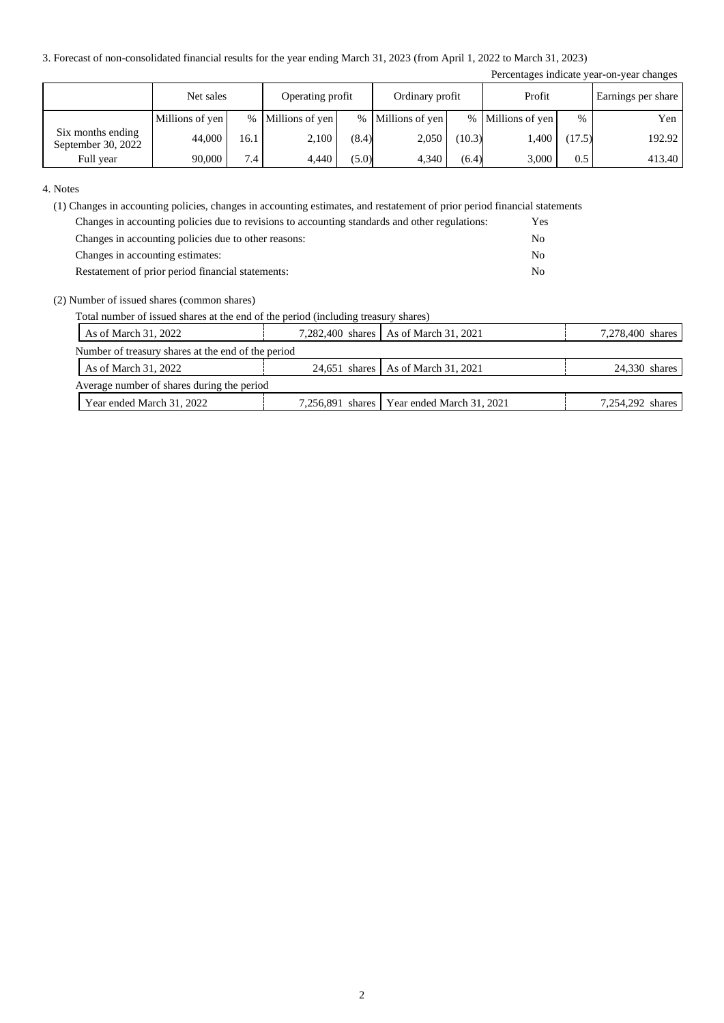3. Forecast of non-consolidated financial results for the year ending March 31, 2023 (from April 1, 2022 to March 31, 2023)

| Percentages indicate year-on-year changes |                 |      |                  |       |                   |        |                   |        |                    |
|-------------------------------------------|-----------------|------|------------------|-------|-------------------|--------|-------------------|--------|--------------------|
|                                           | Net sales       |      | Operating profit |       | Ordinary profit   |        | Profit            |        | Earnings per share |
|                                           | Millions of yen | $\%$ | Millions of yen  |       | % Millions of yen |        | % Millions of yen | $\%$   | Yen                |
| Six months ending<br>September 30, 2022   | 44,000          | 16.1 | 2,100            | (8.4) | 2,050             | (10.3) | 1,400             | (17.5) | 192.92             |
| Full year                                 | 90,000          | 7.4  | 4.440            | (5.0) | 4,340             | (6.4)  | 3,000             | 0.5    | 413.40             |

4. Notes

(1) Changes in accounting policies, changes in accounting estimates, and restatement of prior period financial statements

| Changes in accounting policies due to revisions to accounting standards and other regulations: | Yes            |
|------------------------------------------------------------------------------------------------|----------------|
| Changes in accounting policies due to other reasons:                                           | No             |
| Changes in accounting estimates:                                                               | No             |
| Restatement of prior period financial statements:                                              | N <sub>0</sub> |

#### (2) Number of issued shares (common shares)

Total number of issued shares at the end of the period (including treasury shares)

| As of March 31, 2022                               |  | 7,282,400 shares   As of March 31, 2021      |  | 7,278,400 shares |  |  |  |
|----------------------------------------------------|--|----------------------------------------------|--|------------------|--|--|--|
| Number of treasury shares at the end of the period |  |                                              |  |                  |  |  |  |
| As of March 31, 2022                               |  | 24.651 shares As of March 31, 2021           |  | 24.330 shares    |  |  |  |
| Average number of shares during the period         |  |                                              |  |                  |  |  |  |
| Year ended March 31, 2022                          |  | 7,256,891 shares   Year ended March 31, 2021 |  | 7,254,292 shares |  |  |  |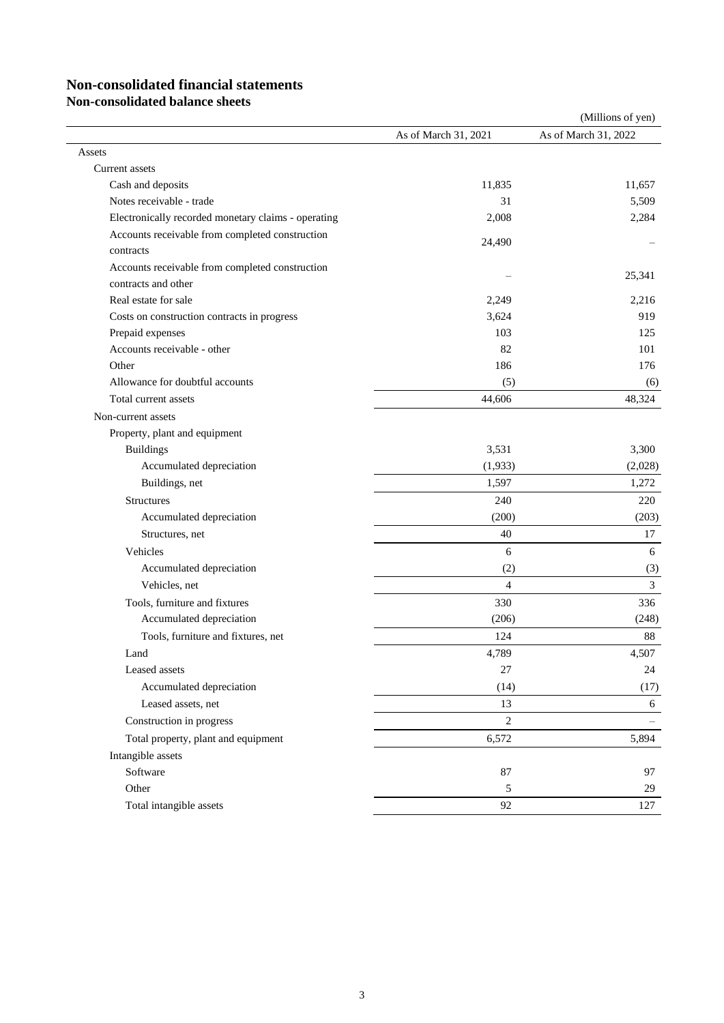# **Non-consolidated financial statements**

**Non-consolidated balance sheets**

|                                                              |                      | (Millions of yen)    |
|--------------------------------------------------------------|----------------------|----------------------|
|                                                              | As of March 31, 2021 | As of March 31, 2022 |
| Assets                                                       |                      |                      |
| Current assets                                               |                      |                      |
| Cash and deposits                                            | 11,835               | 11,657               |
| Notes receivable - trade                                     | 31                   | 5,509                |
| Electronically recorded monetary claims - operating          | 2,008                | 2,284                |
| Accounts receivable from completed construction<br>contracts | 24,490               |                      |
| Accounts receivable from completed construction              |                      |                      |
| contracts and other                                          |                      | 25,341               |
| Real estate for sale                                         | 2,249                | 2,216                |
| Costs on construction contracts in progress                  | 3,624                | 919                  |
| Prepaid expenses                                             | 103                  | 125                  |
| Accounts receivable - other                                  | 82                   | 101                  |
| Other                                                        | 186                  | 176                  |
| Allowance for doubtful accounts                              | (5)                  | (6)                  |
| Total current assets                                         | 44,606               | 48,324               |
| Non-current assets                                           |                      |                      |
| Property, plant and equipment                                |                      |                      |
| <b>Buildings</b>                                             | 3,531                | 3,300                |
| Accumulated depreciation                                     | (1,933)              | (2,028)              |
| Buildings, net                                               | 1,597                | 1,272                |
| Structures                                                   | 240                  | 220                  |
| Accumulated depreciation                                     | (200)                | (203)                |
| Structures, net                                              | 40                   | 17                   |
| Vehicles                                                     | 6                    | 6                    |
| Accumulated depreciation                                     | (2)                  | (3)                  |
| Vehicles, net                                                | $\overline{4}$       | $\overline{3}$       |
| Tools, furniture and fixtures                                | 330                  | 336                  |
| Accumulated depreciation                                     | (206)                | (248)                |
| Tools, furniture and fixtures, net                           | 124                  | 88                   |
| Land                                                         | 4,789                | 4,507                |
| Leased assets                                                | $27\,$               | 24                   |
| Accumulated depreciation                                     | (14)                 | (17)                 |
| Leased assets, net                                           | 13                   | 6                    |
| Construction in progress                                     | $\mathbf{2}$         | $\qquad \qquad -$    |
| Total property, plant and equipment                          | 6,572                | 5,894                |
| Intangible assets                                            |                      |                      |
| Software                                                     | 87                   | 97                   |
| Other                                                        | $\sqrt{5}$           | 29                   |
| Total intangible assets                                      | 92                   | 127                  |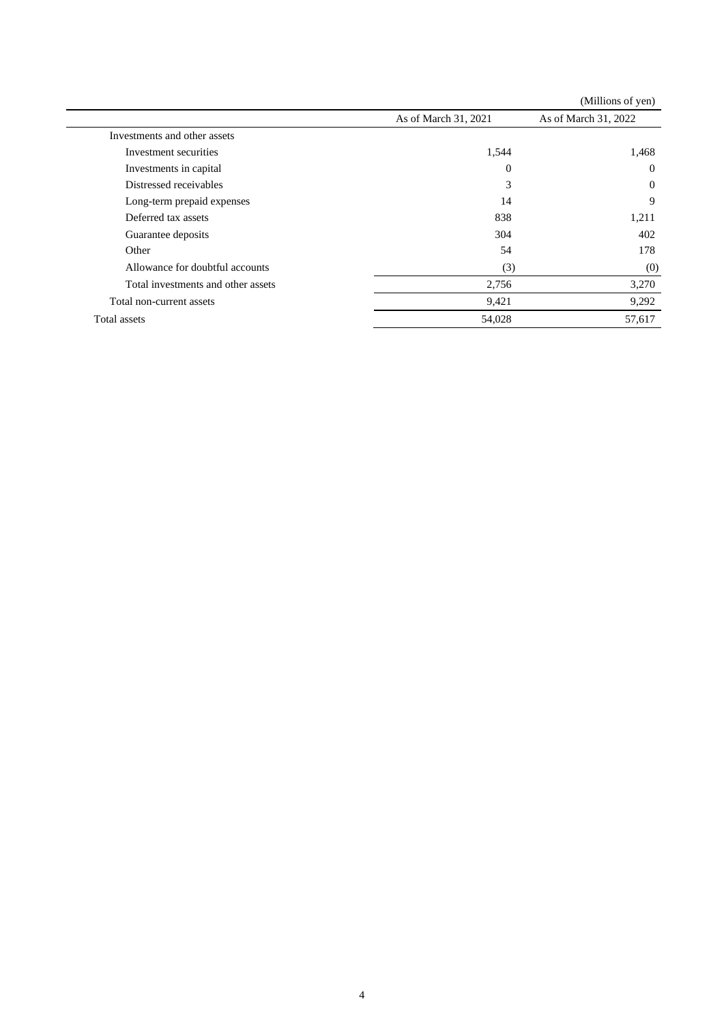|                                    |                      | (Millions of yen)    |
|------------------------------------|----------------------|----------------------|
|                                    | As of March 31, 2021 | As of March 31, 2022 |
| Investments and other assets       |                      |                      |
| Investment securities              | 1,544                | 1,468                |
| Investments in capital             | $\overline{0}$       | $\theta$             |
| Distressed receivables             | 3                    | $\Omega$             |
| Long-term prepaid expenses         | 14                   | 9                    |
| Deferred tax assets                | 838                  | 1,211                |
| Guarantee deposits                 | 304                  | 402                  |
| Other                              | 54                   | 178                  |
| Allowance for doubtful accounts    | (3)                  | (0)                  |
| Total investments and other assets | 2,756                | 3,270                |
| Total non-current assets           | 9,421                | 9,292                |
| Total assets                       | 54,028               | 57,617               |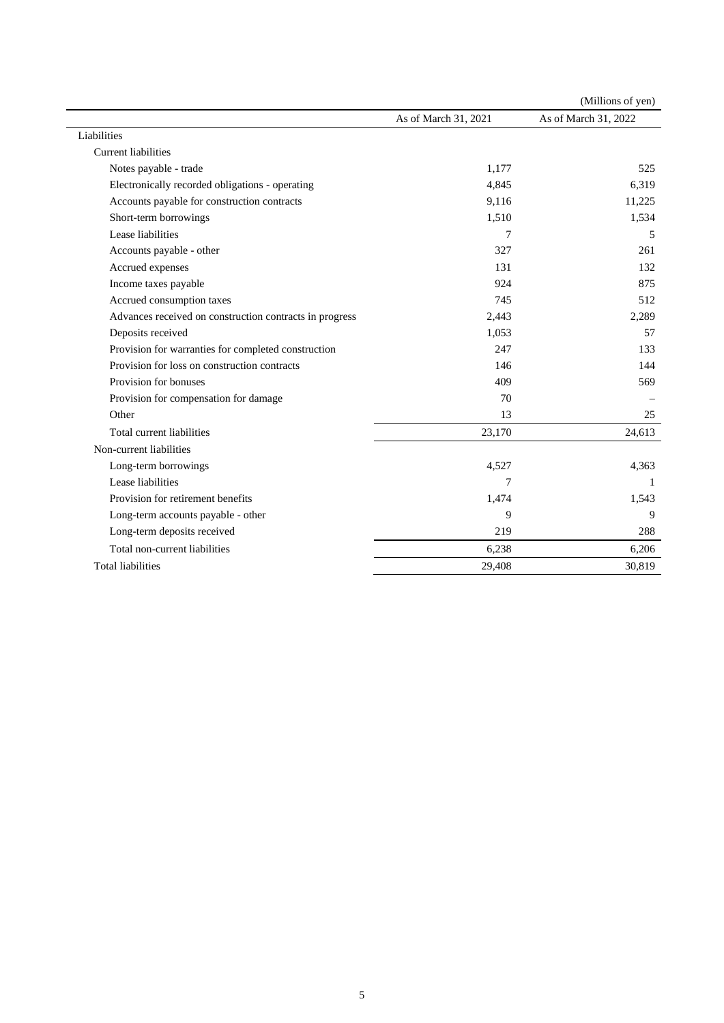|                                                         |                      | (Millions of yen)    |
|---------------------------------------------------------|----------------------|----------------------|
|                                                         | As of March 31, 2021 | As of March 31, 2022 |
| Liabilities                                             |                      |                      |
| <b>Current liabilities</b>                              |                      |                      |
| Notes payable - trade                                   | 1,177                | 525                  |
| Electronically recorded obligations - operating         | 4,845                | 6,319                |
| Accounts payable for construction contracts             | 9,116                | 11,225               |
| Short-term borrowings                                   | 1,510                | 1,534                |
| Lease liabilities                                       | 7                    | 5                    |
| Accounts payable - other                                | 327                  | 261                  |
| Accrued expenses                                        | 131                  | 132                  |
| Income taxes payable                                    | 924                  | 875                  |
| Accrued consumption taxes                               | 745                  | 512                  |
| Advances received on construction contracts in progress | 2,443                | 2,289                |
| Deposits received                                       | 1,053                | 57                   |
| Provision for warranties for completed construction     | 247                  | 133                  |
| Provision for loss on construction contracts            | 146                  | 144                  |
| Provision for bonuses                                   | 409                  | 569                  |
| Provision for compensation for damage                   | 70                   |                      |
| Other                                                   | 13                   | 25                   |
| Total current liabilities                               | 23,170               | 24,613               |
| Non-current liabilities                                 |                      |                      |
| Long-term borrowings                                    | 4,527                | 4,363                |
| Lease liabilities                                       | $\overline{7}$       | -1                   |
| Provision for retirement benefits                       | 1,474                | 1,543                |
| Long-term accounts payable - other                      | 9                    | 9                    |
| Long-term deposits received                             | 219                  | 288                  |
| Total non-current liabilities                           | 6,238                | 6,206                |
| <b>Total liabilities</b>                                | 29,408               | 30,819               |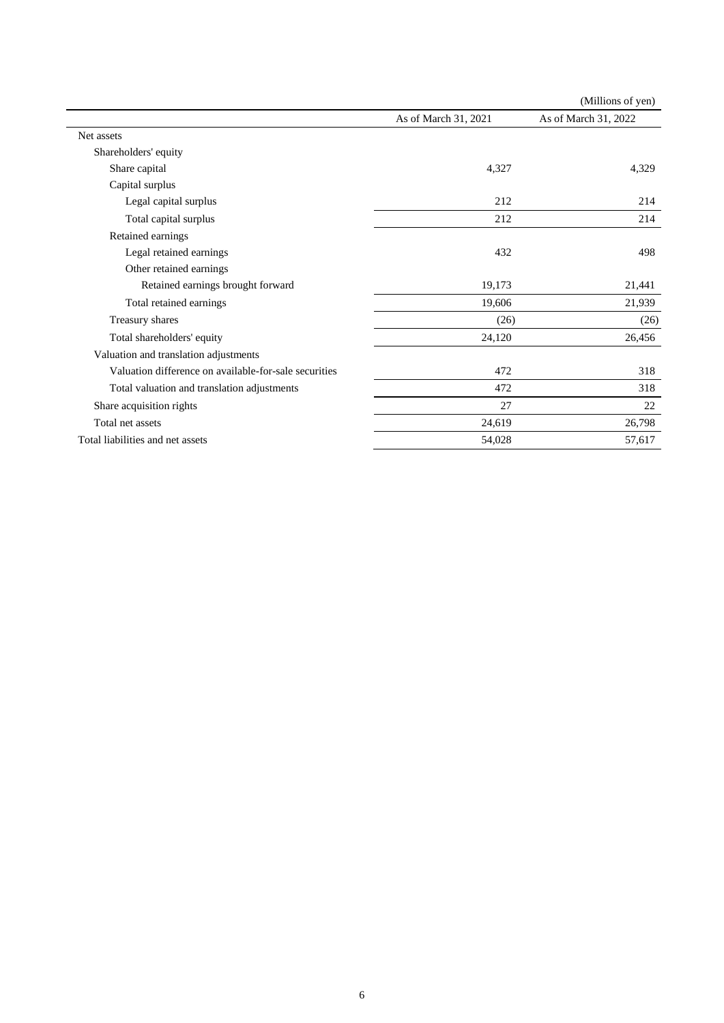|                                                       |                      | (Millions of yen)    |
|-------------------------------------------------------|----------------------|----------------------|
|                                                       | As of March 31, 2021 | As of March 31, 2022 |
| Net assets                                            |                      |                      |
| Shareholders' equity                                  |                      |                      |
| Share capital                                         | 4,327                | 4,329                |
| Capital surplus                                       |                      |                      |
| Legal capital surplus                                 | 212                  | 214                  |
| Total capital surplus                                 | 212                  | 214                  |
| Retained earnings                                     |                      |                      |
| Legal retained earnings                               | 432                  | 498                  |
| Other retained earnings                               |                      |                      |
| Retained earnings brought forward                     | 19,173               | 21,441               |
| Total retained earnings                               | 19,606               | 21,939               |
| Treasury shares                                       | (26)                 | (26)                 |
| Total shareholders' equity                            | 24,120               | 26,456               |
| Valuation and translation adjustments                 |                      |                      |
| Valuation difference on available-for-sale securities | 472                  | 318                  |
| Total valuation and translation adjustments           | 472                  | 318                  |
| Share acquisition rights                              | 27                   | 22                   |
| Total net assets                                      | 24,619               | 26,798               |
| Total liabilities and net assets                      | 54,028               | 57,617               |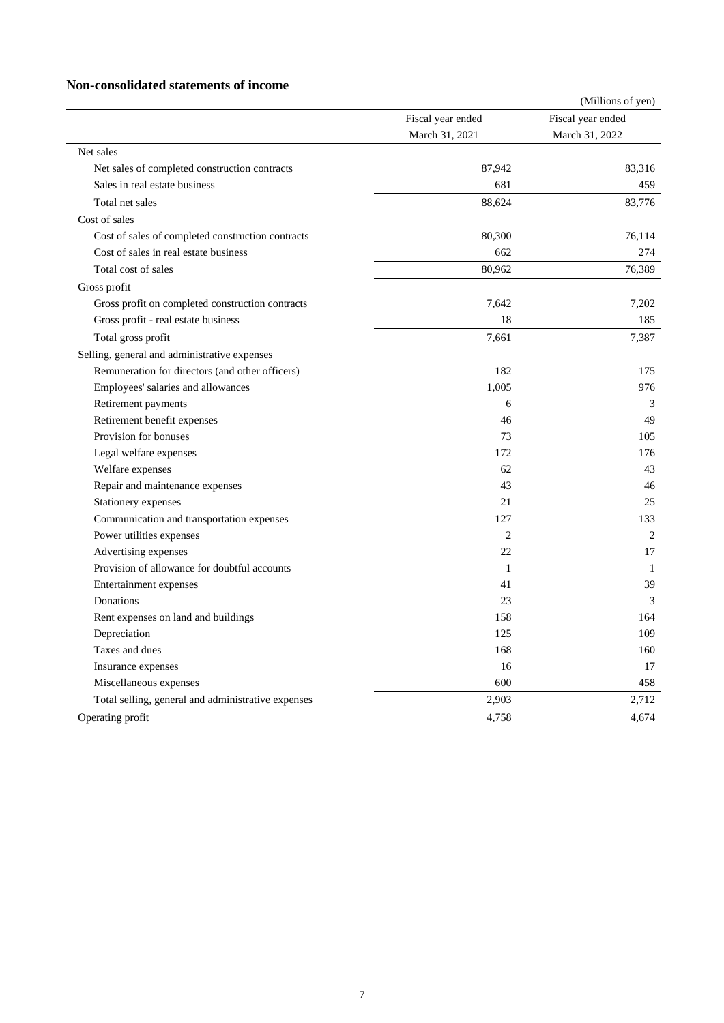#### **Non-consolidated statements of income**

|                                                    |                   | (Millions of yen) |
|----------------------------------------------------|-------------------|-------------------|
|                                                    | Fiscal year ended | Fiscal year ended |
|                                                    | March 31, 2021    | March 31, 2022    |
| Net sales                                          |                   |                   |
| Net sales of completed construction contracts      | 87,942            | 83,316            |
| Sales in real estate business                      | 681               | 459               |
| Total net sales                                    | 88,624            | 83,776            |
| Cost of sales                                      |                   |                   |
| Cost of sales of completed construction contracts  | 80,300            | 76,114            |
| Cost of sales in real estate business              | 662               | 274               |
| Total cost of sales                                | 80,962            | 76,389            |
| Gross profit                                       |                   |                   |
| Gross profit on completed construction contracts   | 7,642             | 7,202             |
| Gross profit - real estate business                | 18                | 185               |
| Total gross profit                                 | 7,661             | 7,387             |
| Selling, general and administrative expenses       |                   |                   |
| Remuneration for directors (and other officers)    | 182               | 175               |
| Employees' salaries and allowances                 | 1,005             | 976               |
| Retirement payments                                | 6                 | 3                 |
| Retirement benefit expenses                        | 46                | 49                |
| Provision for bonuses                              | 73                | 105               |
| Legal welfare expenses                             | 172               | 176               |
| Welfare expenses                                   | 62                | 43                |
| Repair and maintenance expenses                    | 43                | 46                |
| Stationery expenses                                | 21                | 25                |
| Communication and transportation expenses          | 127               | 133               |
| Power utilities expenses                           | $\mathfrak{D}$    | 2                 |
| Advertising expenses                               | 22                | 17                |
| Provision of allowance for doubtful accounts       | 1                 | 1                 |
| Entertainment expenses                             | 41                | 39                |
| Donations                                          | 23                | 3                 |
| Rent expenses on land and buildings                | 158               | 164               |
| Depreciation                                       | 125               | 109               |
| Taxes and dues                                     | 168               | 160               |
| Insurance expenses                                 | 16                | 17                |
| Miscellaneous expenses                             | 600               | 458               |
| Total selling, general and administrative expenses | 2,903             | 2,712             |
| Operating profit                                   | 4,758             | 4,674             |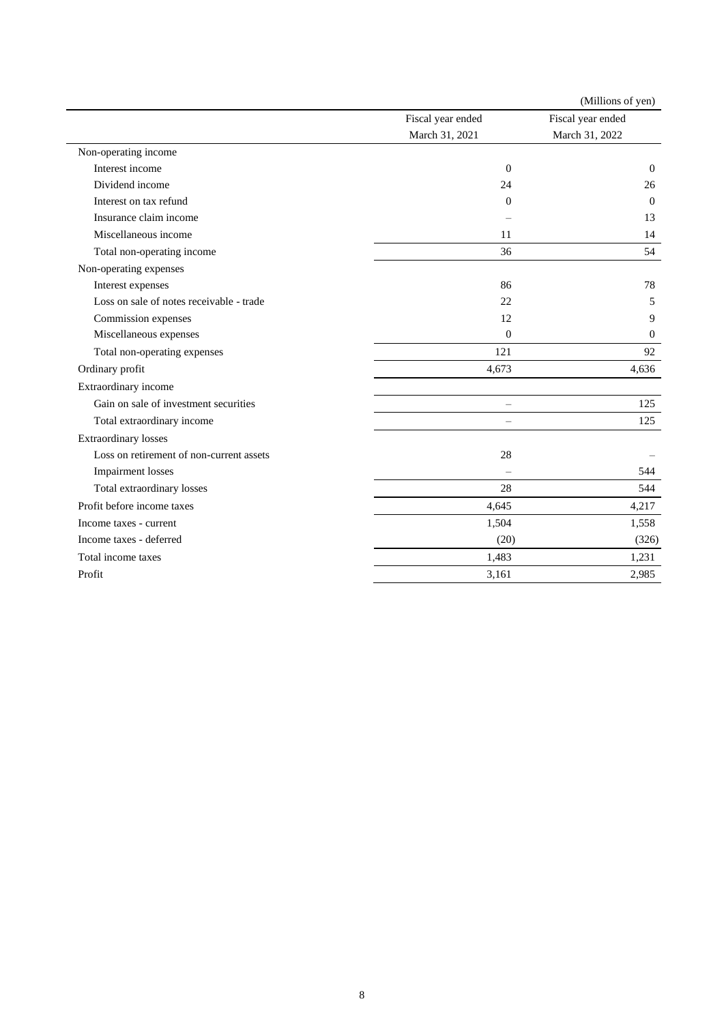|                                          |                          | (Millions of yen) |
|------------------------------------------|--------------------------|-------------------|
|                                          | Fiscal year ended        | Fiscal year ended |
|                                          | March 31, 2021           | March 31, 2022    |
| Non-operating income                     |                          |                   |
| Interest income                          | $\Omega$                 | $\theta$          |
| Dividend income                          | 24                       | 26                |
| Interest on tax refund                   | $\Omega$                 | $\Omega$          |
| Insurance claim income                   |                          | 13                |
| Miscellaneous income                     | 11                       | 14                |
| Total non-operating income               | 36                       | 54                |
| Non-operating expenses                   |                          |                   |
| Interest expenses                        | 86                       | 78                |
| Loss on sale of notes receivable - trade | 22                       | 5                 |
| Commission expenses                      | 12                       | 9                 |
| Miscellaneous expenses                   | $\theta$                 | $\mathbf{0}$      |
| Total non-operating expenses             | 121                      | 92                |
| Ordinary profit                          | 4,673                    | 4,636             |
| Extraordinary income                     |                          |                   |
| Gain on sale of investment securities    | $\equiv$                 | 125               |
| Total extraordinary income               | $\overline{\phantom{0}}$ | 125               |
| <b>Extraordinary losses</b>              |                          |                   |
| Loss on retirement of non-current assets | 28                       |                   |
| Impairment losses                        |                          | 544               |
| Total extraordinary losses               | 28                       | 544               |
| Profit before income taxes               | 4,645                    | 4,217             |
| Income taxes - current                   | 1,504                    | 1,558             |
| Income taxes - deferred                  | (20)                     | (326)             |
| Total income taxes                       | 1,483                    | 1,231             |
| Profit                                   | 3,161                    | 2,985             |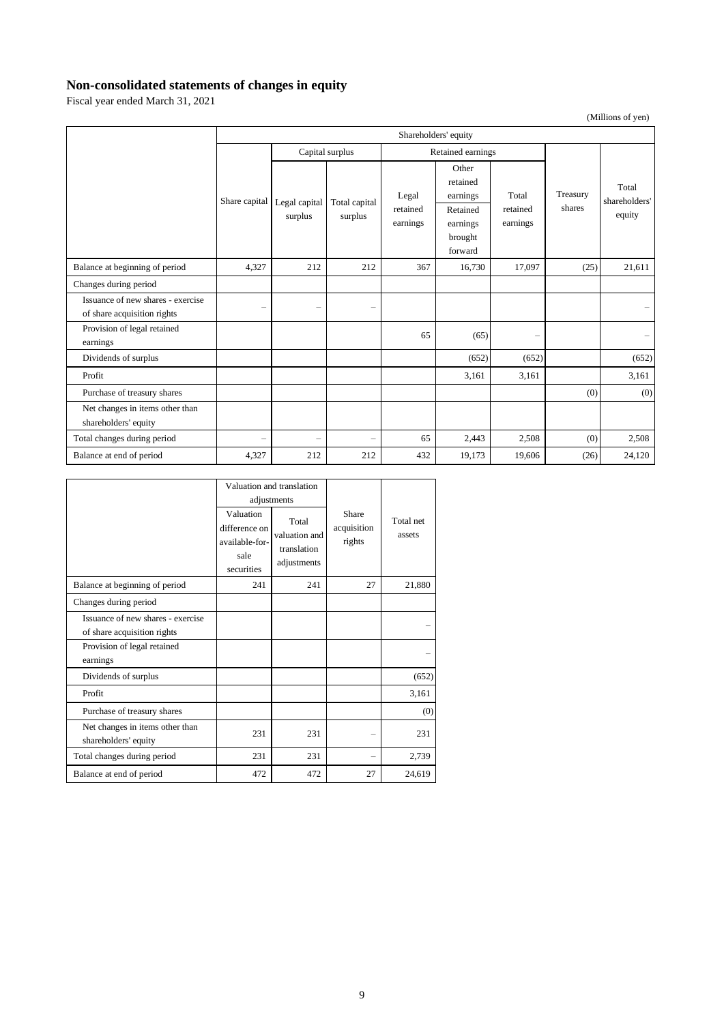## **Non-consolidated statements of changes in equity**

Fiscal year ended March 31, 2021

(Millions of yen)

|                                                                  | Shareholders' equity     |                          |                          |                               |                                                                             |                               |                    |                                  |
|------------------------------------------------------------------|--------------------------|--------------------------|--------------------------|-------------------------------|-----------------------------------------------------------------------------|-------------------------------|--------------------|----------------------------------|
|                                                                  |                          |                          | Capital surplus          |                               | Retained earnings                                                           |                               |                    |                                  |
|                                                                  | Share capital            | Legal capital<br>surplus | Total capital<br>surplus | Legal<br>retained<br>earnings | Other<br>retained<br>earnings<br>Retained<br>earnings<br>brought<br>forward | Total<br>retained<br>earnings | Treasury<br>shares | Total<br>shareholders'<br>equity |
| Balance at beginning of period                                   | 4,327                    | 212                      | 212                      | 367                           | 16,730                                                                      | 17,097                        | (25)               | 21,611                           |
| Changes during period                                            |                          |                          |                          |                               |                                                                             |                               |                    |                                  |
| Issuance of new shares - exercise<br>of share acquisition rights | $\overline{\phantom{0}}$ | $\overline{\phantom{0}}$ | $\overline{\phantom{0}}$ |                               |                                                                             |                               |                    |                                  |
| Provision of legal retained<br>earnings                          |                          |                          |                          | 65                            | (65)                                                                        | $\overline{\phantom{0}}$      |                    |                                  |
| Dividends of surplus                                             |                          |                          |                          |                               | (652)                                                                       | (652)                         |                    | (652)                            |
| Profit                                                           |                          |                          |                          |                               | 3,161                                                                       | 3,161                         |                    | 3,161                            |
| Purchase of treasury shares                                      |                          |                          |                          |                               |                                                                             |                               | (0)                | (0)                              |
| Net changes in items other than<br>shareholders' equity          |                          |                          |                          |                               |                                                                             |                               |                    |                                  |
| Total changes during period                                      | $\overline{\phantom{0}}$ | $\overline{\phantom{0}}$ | $\overline{\phantom{0}}$ | 65                            | 2,443                                                                       | 2,508                         | (0)                | 2,508                            |
| Balance at end of period                                         | 4,327                    | 212                      | 212                      | 432                           | 19,173                                                                      | 19,606                        | (26)               | 24,120                           |

|                                                                  | Valuation and translation                                          |                                                                     |                                |                     |
|------------------------------------------------------------------|--------------------------------------------------------------------|---------------------------------------------------------------------|--------------------------------|---------------------|
|                                                                  | Valuation<br>difference on<br>available-for-<br>sale<br>securities | adjustments<br>Total<br>valuation and<br>translation<br>adjustments | Share<br>acquisition<br>rights | Total net<br>assets |
| Balance at beginning of period                                   | 241                                                                | 241                                                                 | 27                             | 21,880              |
| Changes during period                                            |                                                                    |                                                                     |                                |                     |
| Issuance of new shares - exercise<br>of share acquisition rights |                                                                    |                                                                     |                                |                     |
| Provision of legal retained<br>earnings                          |                                                                    |                                                                     |                                |                     |
| Dividends of surplus                                             |                                                                    |                                                                     |                                | (652)               |
| Profit                                                           |                                                                    |                                                                     |                                | 3,161               |
| Purchase of treasury shares                                      |                                                                    |                                                                     |                                | (0)                 |
| Net changes in items other than<br>shareholders' equity          | 231                                                                | 231                                                                 |                                | 231                 |
| Total changes during period                                      | 231                                                                | 231                                                                 |                                | 2,739               |
| Balance at end of period                                         | 472                                                                | 472                                                                 | 27                             | 24,619              |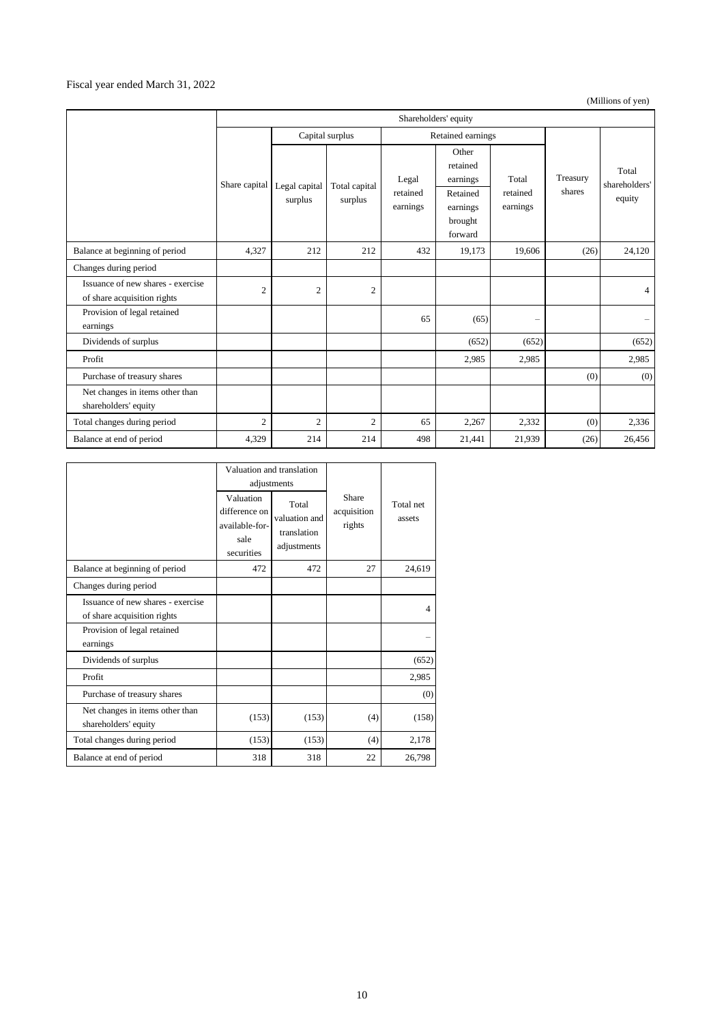#### Fiscal year ended March 31, 2022

(Millions of yen)

|                                                                  | Shareholders' equity |                          |                          |                               |                                                                             |                               |                    |                                  |
|------------------------------------------------------------------|----------------------|--------------------------|--------------------------|-------------------------------|-----------------------------------------------------------------------------|-------------------------------|--------------------|----------------------------------|
|                                                                  | Capital surplus      |                          | Retained earnings        |                               |                                                                             |                               |                    |                                  |
|                                                                  | Share capital        | Legal capital<br>surplus | Total capital<br>surplus | Legal<br>retained<br>earnings | Other<br>retained<br>earnings<br>Retained<br>earnings<br>brought<br>forward | Total<br>retained<br>earnings | Treasury<br>shares | Total<br>shareholders'<br>equity |
| Balance at beginning of period                                   | 4,327                | 212                      | 212                      | 432                           | 19,173                                                                      | 19,606                        | (26)               | 24,120                           |
| Changes during period                                            |                      |                          |                          |                               |                                                                             |                               |                    |                                  |
| Issuance of new shares - exercise<br>of share acquisition rights | $\mathbf{2}$         | $\overline{2}$           | $\mathfrak{2}$           |                               |                                                                             |                               |                    | 4                                |
| Provision of legal retained<br>earnings                          |                      |                          |                          | 65                            | (65)                                                                        | $\overline{\phantom{0}}$      |                    |                                  |
| Dividends of surplus                                             |                      |                          |                          |                               | (652)                                                                       | (652)                         |                    | (652)                            |
| Profit                                                           |                      |                          |                          |                               | 2,985                                                                       | 2,985                         |                    | 2,985                            |
| Purchase of treasury shares                                      |                      |                          |                          |                               |                                                                             |                               | (0)                | (0)                              |
| Net changes in items other than<br>shareholders' equity          |                      |                          |                          |                               |                                                                             |                               |                    |                                  |
| Total changes during period                                      | $\overline{2}$       | $\overline{2}$           | $\overline{2}$           | 65                            | 2,267                                                                       | 2,332                         | (0)                | 2,336                            |
| Balance at end of period                                         | 4,329                | 214                      | 214                      | 498                           | 21,441                                                                      | 21,939                        | (26)               | 26,456                           |

|                                                                  |                                                                    | Valuation and translation<br>adjustments             |                                |                     |
|------------------------------------------------------------------|--------------------------------------------------------------------|------------------------------------------------------|--------------------------------|---------------------|
|                                                                  | Valuation<br>difference on<br>available-for-<br>sale<br>securities | Total<br>valuation and<br>translation<br>adjustments | Share<br>acquisition<br>rights | Total net<br>assets |
| Balance at beginning of period                                   | 472                                                                | 472                                                  | 27                             | 24,619              |
| Changes during period                                            |                                                                    |                                                      |                                |                     |
| Issuance of new shares - exercise<br>of share acquisition rights |                                                                    |                                                      |                                | 4                   |
| Provision of legal retained<br>earnings                          |                                                                    |                                                      |                                |                     |
| Dividends of surplus                                             |                                                                    |                                                      |                                | (652)               |
| Profit                                                           |                                                                    |                                                      |                                | 2,985               |
| Purchase of treasury shares                                      |                                                                    |                                                      |                                | (0)                 |
| Net changes in items other than<br>shareholders' equity          | (153)                                                              | (153)                                                | (4)                            | (158)               |
| Total changes during period                                      | (153)                                                              | (153)                                                | (4)                            | 2,178               |
| Balance at end of period                                         | 318                                                                | 318                                                  | 22                             | 26,798              |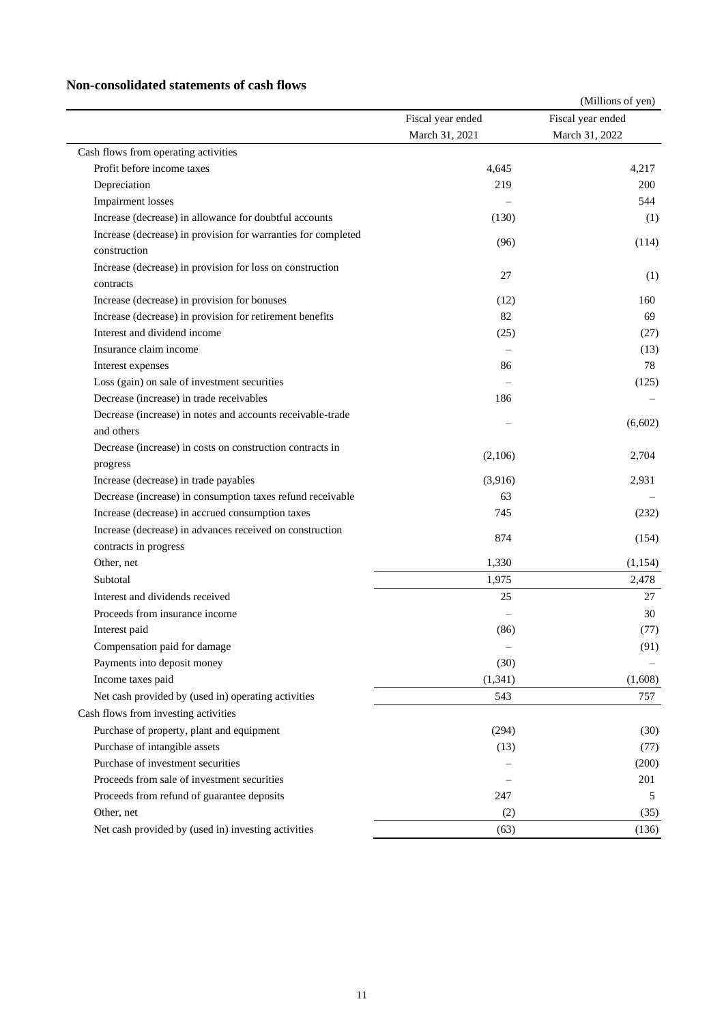### **Non-consolidated statements of cash flows**

|                                                               |                   | (Millions of yen) |
|---------------------------------------------------------------|-------------------|-------------------|
|                                                               | Fiscal year ended | Fiscal year ended |
|                                                               | March 31, 2021    | March 31, 2022    |
| Cash flows from operating activities                          |                   |                   |
| Profit before income taxes                                    | 4,645             | 4,217             |
| Depreciation                                                  | 219               | 200               |
| <b>Impairment</b> losses                                      |                   | 544               |
| Increase (decrease) in allowance for doubtful accounts        | (130)             | (1)               |
| Increase (decrease) in provision for warranties for completed |                   |                   |
| construction                                                  | (96)              | (114)             |
| Increase (decrease) in provision for loss on construction     | 27                |                   |
| contracts                                                     |                   | (1)               |
| Increase (decrease) in provision for bonuses                  | (12)              | 160               |
| Increase (decrease) in provision for retirement benefits      | 82                | 69                |
| Interest and dividend income                                  | (25)              | (27)              |
| Insurance claim income                                        |                   | (13)              |
| Interest expenses                                             | 86                | 78                |
| Loss (gain) on sale of investment securities                  |                   | (125)             |
| Decrease (increase) in trade receivables                      | 186               |                   |
| Decrease (increase) in notes and accounts receivable-trade    |                   |                   |
| and others                                                    |                   | (6,602)           |
| Decrease (increase) in costs on construction contracts in     |                   |                   |
| progress                                                      | (2,106)           | 2,704             |
| Increase (decrease) in trade payables                         | (3,916)           | 2,931             |
| Decrease (increase) in consumption taxes refund receivable    | 63                |                   |
| Increase (decrease) in accrued consumption taxes              | 745               | (232)             |
| Increase (decrease) in advances received on construction      | 874               |                   |
| contracts in progress                                         |                   | (154)             |
| Other, net                                                    | 1,330             | (1,154)           |
| Subtotal                                                      | 1,975             | 2,478             |
| Interest and dividends received                               | 25                | 27                |
| Proceeds from insurance income                                |                   | 30                |
| Interest paid                                                 | (86)              | (77)              |
| Compensation paid for damage                                  |                   | (91)              |
| Payments into deposit money                                   | (30)              |                   |
| Income taxes paid                                             | (1, 341)          | (1,608)           |
| Net cash provided by (used in) operating activities           | 543               | 757               |
| Cash flows from investing activities                          |                   |                   |
| Purchase of property, plant and equipment                     | (294)             | (30)              |
| Purchase of intangible assets                                 | (13)              | (77)              |
| Purchase of investment securities                             |                   | (200)             |
| Proceeds from sale of investment securities                   |                   | 201               |
| Proceeds from refund of guarantee deposits                    | 247               | 5                 |
| Other, net                                                    | (2)               | (35)              |
| Net cash provided by (used in) investing activities           | (63)              | (136)             |
|                                                               |                   |                   |